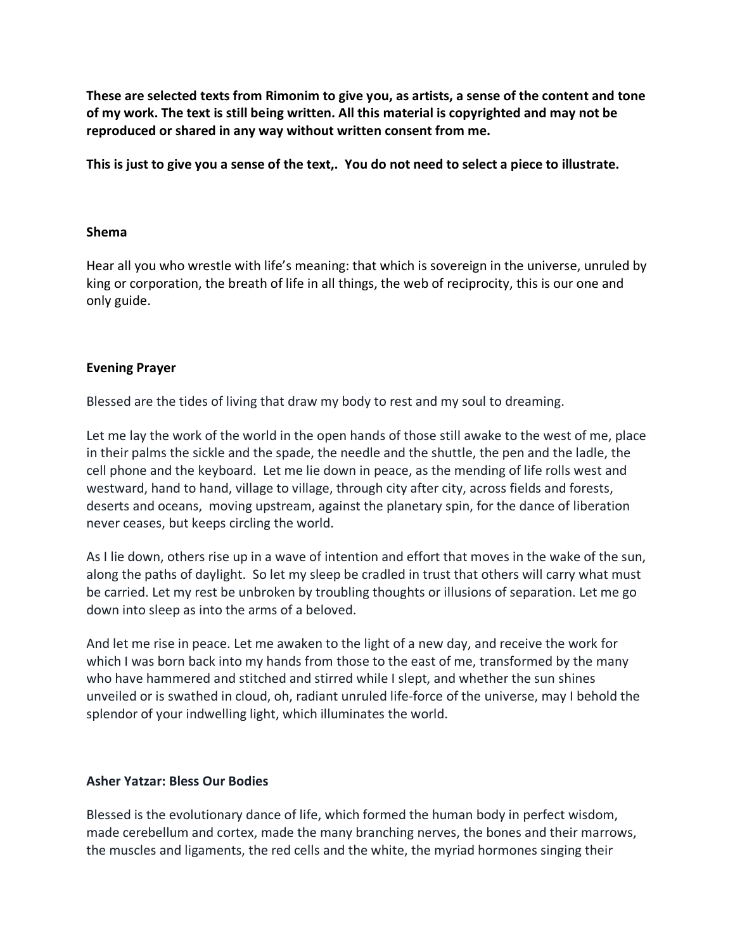**These are selected texts from Rimonim to give you, as artists, a sense of the content and tone of my work. The text is still being written. All this material is copyrighted and may not be reproduced or shared in any way without written consent from me.** 

**This is just to give you a sense of the text,. You do not need to select a piece to illustrate.** 

## **Shema**

Hear all you who wrestle with life's meaning: that which is sovereign in the universe, unruled by king or corporation, the breath of life in all things, the web of reciprocity, this is our one and only guide.

# **Evening Prayer**

Blessed are the tides of living that draw my body to rest and my soul to dreaming.

Let me lay the work of the world in the open hands of those still awake to the west of me, place in their palms the sickle and the spade, the needle and the shuttle, the pen and the ladle, the cell phone and the keyboard. Let me lie down in peace, as the mending of life rolls west and westward, hand to hand, village to village, through city after city, across fields and forests, deserts and oceans, moving upstream, against the planetary spin, for the dance of liberation never ceases, but keeps circling the world.

As I lie down, others rise up in a wave of intention and effort that moves in the wake of the sun, along the paths of daylight. So let my sleep be cradled in trust that others will carry what must be carried. Let my rest be unbroken by troubling thoughts or illusions of separation. Let me go down into sleep as into the arms of a beloved.

And let me rise in peace. Let me awaken to the light of a new day, and receive the work for which I was born back into my hands from those to the east of me, transformed by the many who have hammered and stitched and stirred while I slept, and whether the sun shines unveiled or is swathed in cloud, oh, radiant unruled life-force of the universe, may I behold the splendor of your indwelling light, which illuminates the world.

## **Asher Yatzar: Bless Our Bodies**

Blessed is the evolutionary dance of life, which formed the human body in perfect wisdom, made cerebellum and cortex, made the many branching nerves, the bones and their marrows, the muscles and ligaments, the red cells and the white, the myriad hormones singing their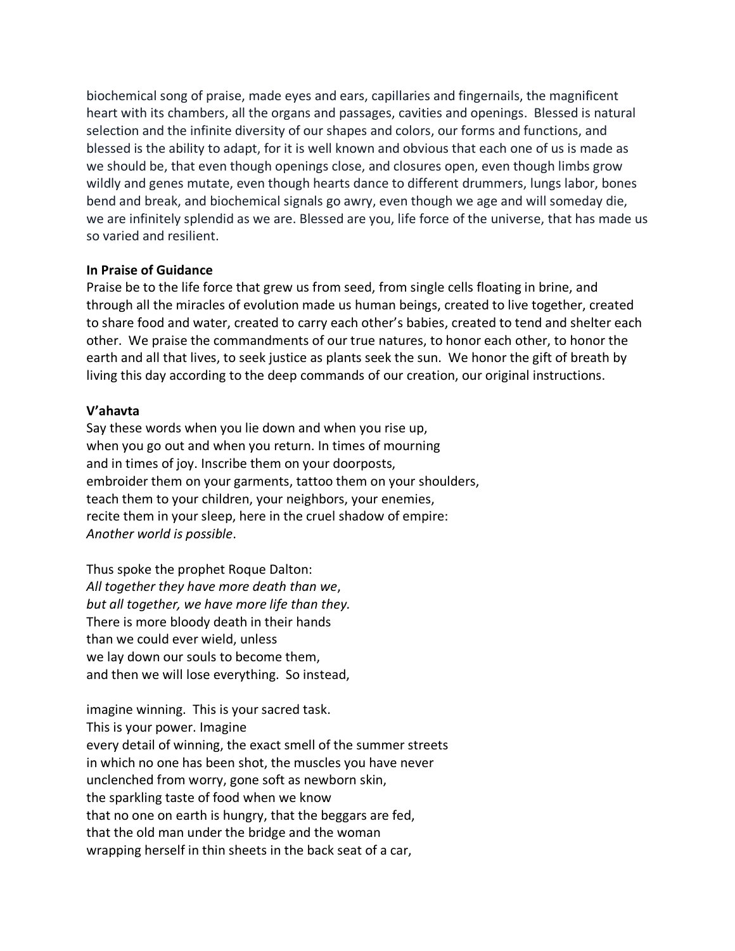biochemical song of praise, made eyes and ears, capillaries and fingernails, the magnificent heart with its chambers, all the organs and passages, cavities and openings. Blessed is natural selection and the infinite diversity of our shapes and colors, our forms and functions, and blessed is the ability to adapt, for it is well known and obvious that each one of us is made as we should be, that even though openings close, and closures open, even though limbs grow wildly and genes mutate, even though hearts dance to different drummers, lungs labor, bones bend and break, and biochemical signals go awry, even though we age and will someday die, we are infinitely splendid as we are. Blessed are you, life force of the universe, that has made us so varied and resilient.

## **In Praise of Guidance**

Praise be to the life force that grew us from seed, from single cells floating in brine, and through all the miracles of evolution made us human beings, created to live together, created to share food and water, created to carry each other's babies, created to tend and shelter each other. We praise the commandments of our true natures, to honor each other, to honor the earth and all that lives, to seek justice as plants seek the sun. We honor the gift of breath by living this day according to the deep commands of our creation, our original instructions.

# **V'ahavta**

Say these words when you lie down and when you rise up, when you go out and when you return. In times of mourning and in times of joy. Inscribe them on your doorposts, embroider them on your garments, tattoo them on your shoulders, teach them to your children, your neighbors, your enemies, recite them in your sleep, here in the cruel shadow of empire: *Another world is possible*.

Thus spoke the prophet Roque Dalton: *All together they have more death than we*, *but all together, we have more life than they.*  There is more bloody death in their hands than we could ever wield, unless we lay down our souls to become them, and then we will lose everything. So instead,

imagine winning. This is your sacred task. This is your power. Imagine every detail of winning, the exact smell of the summer streets in which no one has been shot, the muscles you have never unclenched from worry, gone soft as newborn skin, the sparkling taste of food when we know that no one on earth is hungry, that the beggars are fed, that the old man under the bridge and the woman wrapping herself in thin sheets in the back seat of a car,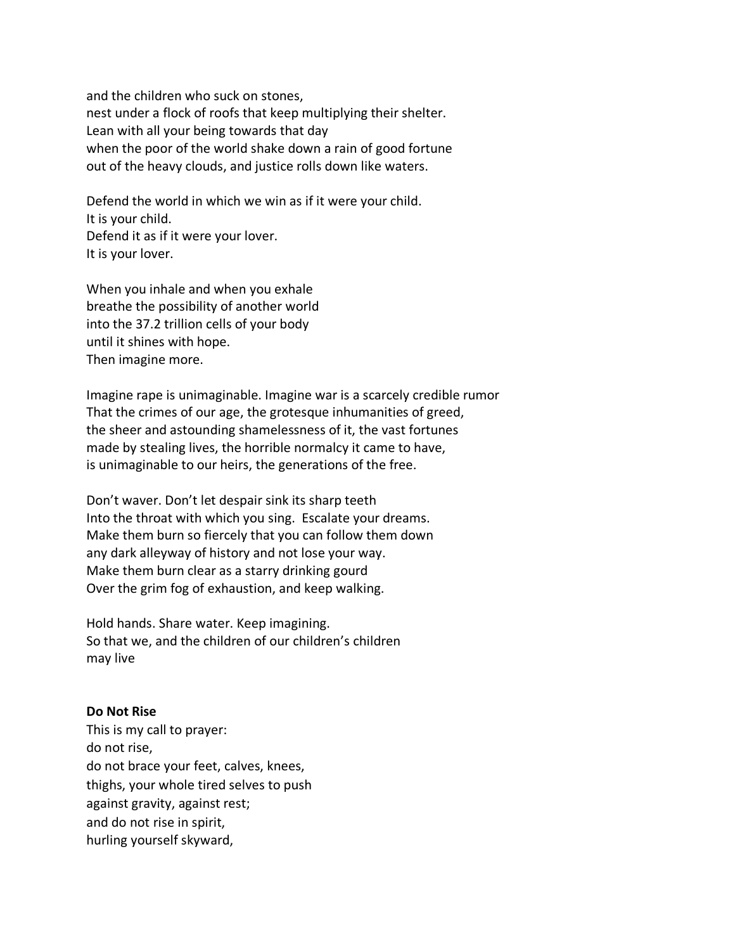and the children who suck on stones, nest under a flock of roofs that keep multiplying their shelter. Lean with all your being towards that day when the poor of the world shake down a rain of good fortune out of the heavy clouds, and justice rolls down like waters.

Defend the world in which we win as if it were your child. It is your child. Defend it as if it were your lover. It is your lover.

When you inhale and when you exhale breathe the possibility of another world into the 37.2 trillion cells of your body until it shines with hope. Then imagine more.

Imagine rape is unimaginable. Imagine war is a scarcely credible rumor That the crimes of our age, the grotesque inhumanities of greed, the sheer and astounding shamelessness of it, the vast fortunes made by stealing lives, the horrible normalcy it came to have, is unimaginable to our heirs, the generations of the free.

Don't waver. Don't let despair sink its sharp teeth Into the throat with which you sing. Escalate your dreams. Make them burn so fiercely that you can follow them down any dark alleyway of history and not lose your way. Make them burn clear as a starry drinking gourd Over the grim fog of exhaustion, and keep walking.

Hold hands. Share water. Keep imagining. So that we, and the children of our children's children may live

## **Do Not Rise**

This is my call to prayer: do not rise, do not brace your feet, calves, knees, thighs, your whole tired selves to push against gravity, against rest; and do not rise in spirit, hurling yourself skyward,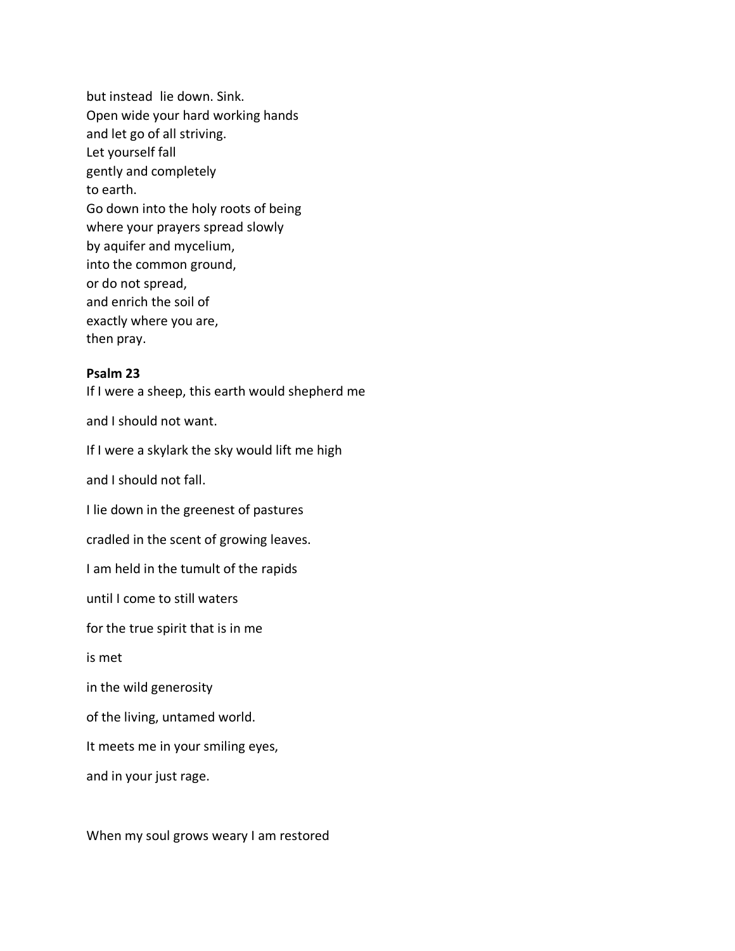but instead lie down. Sink. Open wide your hard working hands and let go of all striving. Let yourself fall gently and completely to earth. Go down into the holy roots of being where your prayers spread slowly by aquifer and mycelium, into the common ground, or do not spread, and enrich the soil of exactly where you are, then pray.

### **Psalm 23**

If I were a sheep, this earth would shepherd me

and I should not want.

If I were a skylark the sky would lift me high

and I should not fall.

I lie down in the greenest of pastures

cradled in the scent of growing leaves.

I am held in the tumult of the rapids

until I come to still waters

for the true spirit that is in me

is met

in the wild generosity

of the living, untamed world.

It meets me in your smiling eyes,

and in your just rage.

When my soul grows weary I am restored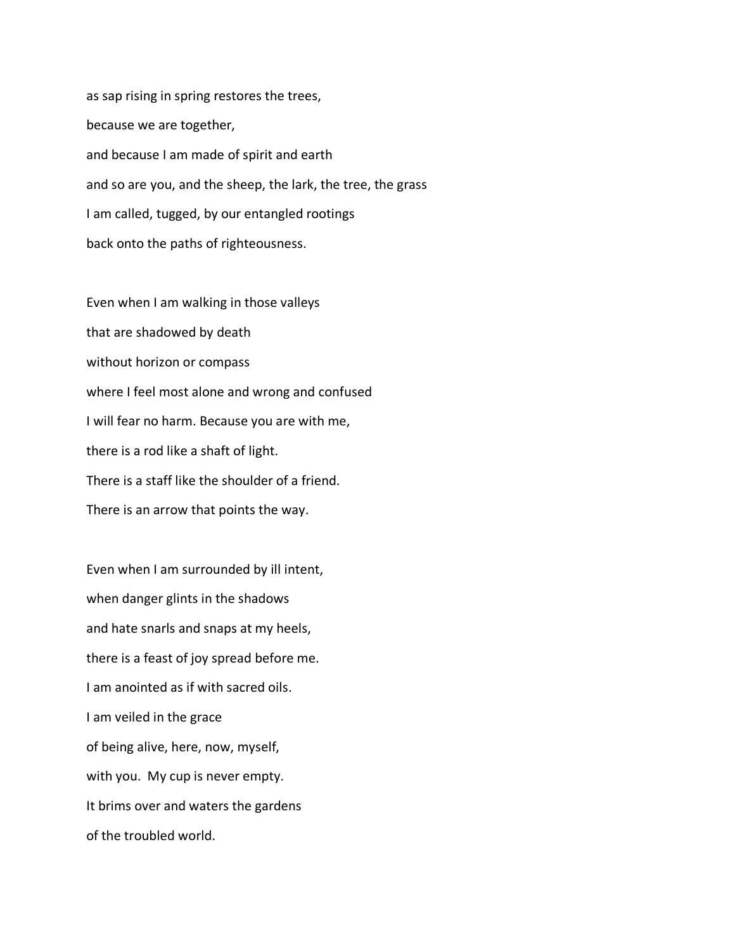as sap rising in spring restores the trees, because we are together, and because I am made of spirit and earth and so are you, and the sheep, the lark, the tree, the grass I am called, tugged, by our entangled rootings back onto the paths of righteousness.

Even when I am walking in those valleys that are shadowed by death without horizon or compass where I feel most alone and wrong and confused I will fear no harm. Because you are with me, there is a rod like a shaft of light. There is a staff like the shoulder of a friend. There is an arrow that points the way.

Even when I am surrounded by ill intent, when danger glints in the shadows and hate snarls and snaps at my heels, there is a feast of joy spread before me. I am anointed as if with sacred oils. I am veiled in the grace of being alive, here, now, myself, with you. My cup is never empty. It brims over and waters the gardens of the troubled world.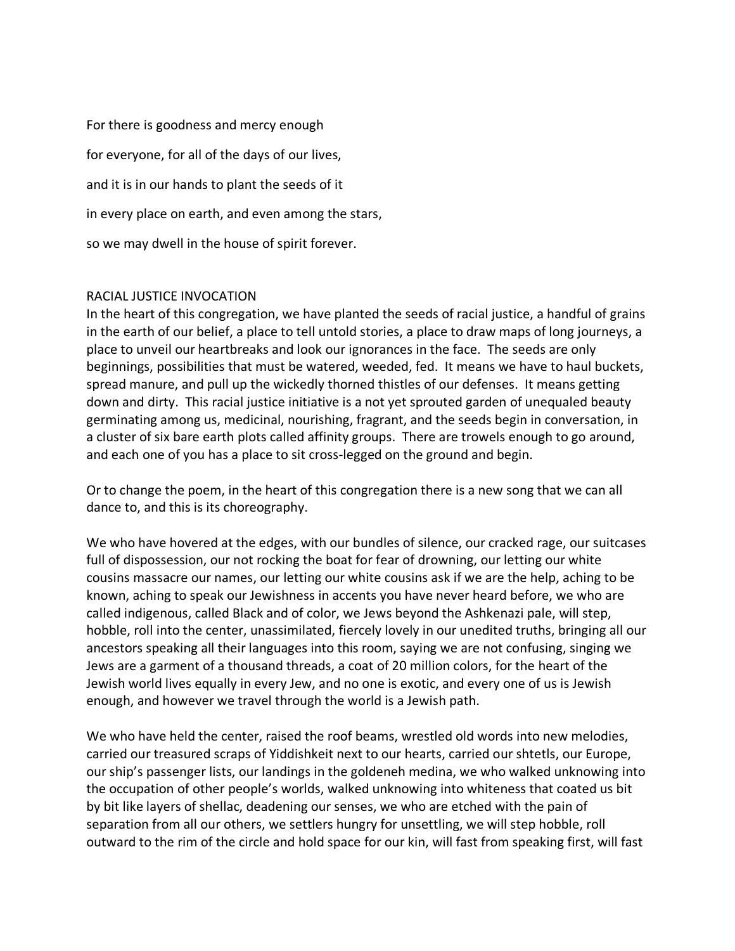For there is goodness and mercy enough for everyone, for all of the days of our lives, and it is in our hands to plant the seeds of it in every place on earth, and even among the stars, so we may dwell in the house of spirit forever.

# RACIAL JUSTICE INVOCATION

In the heart of this congregation, we have planted the seeds of racial justice, a handful of grains in the earth of our belief, a place to tell untold stories, a place to draw maps of long journeys, a place to unveil our heartbreaks and look our ignorances in the face. The seeds are only beginnings, possibilities that must be watered, weeded, fed. It means we have to haul buckets, spread manure, and pull up the wickedly thorned thistles of our defenses. It means getting down and dirty. This racial justice initiative is a not yet sprouted garden of unequaled beauty germinating among us, medicinal, nourishing, fragrant, and the seeds begin in conversation, in a cluster of six bare earth plots called affinity groups. There are trowels enough to go around, and each one of you has a place to sit cross-legged on the ground and begin.

Or to change the poem, in the heart of this congregation there is a new song that we can all dance to, and this is its choreography.

We who have hovered at the edges, with our bundles of silence, our cracked rage, our suitcases full of dispossession, our not rocking the boat for fear of drowning, our letting our white cousins massacre our names, our letting our white cousins ask if we are the help, aching to be known, aching to speak our Jewishness in accents you have never heard before, we who are called indigenous, called Black and of color, we Jews beyond the Ashkenazi pale, will step, hobble, roll into the center, unassimilated, fiercely lovely in our unedited truths, bringing all our ancestors speaking all their languages into this room, saying we are not confusing, singing we Jews are a garment of a thousand threads, a coat of 20 million colors, for the heart of the Jewish world lives equally in every Jew, and no one is exotic, and every one of us is Jewish enough, and however we travel through the world is a Jewish path.

We who have held the center, raised the roof beams, wrestled old words into new melodies, carried our treasured scraps of Yiddishkeit next to our hearts, carried our shtetls, our Europe, our ship's passenger lists, our landings in the goldeneh medina, we who walked unknowing into the occupation of other people's worlds, walked unknowing into whiteness that coated us bit by bit like layers of shellac, deadening our senses, we who are etched with the pain of separation from all our others, we settlers hungry for unsettling, we will step hobble, roll outward to the rim of the circle and hold space for our kin, will fast from speaking first, will fast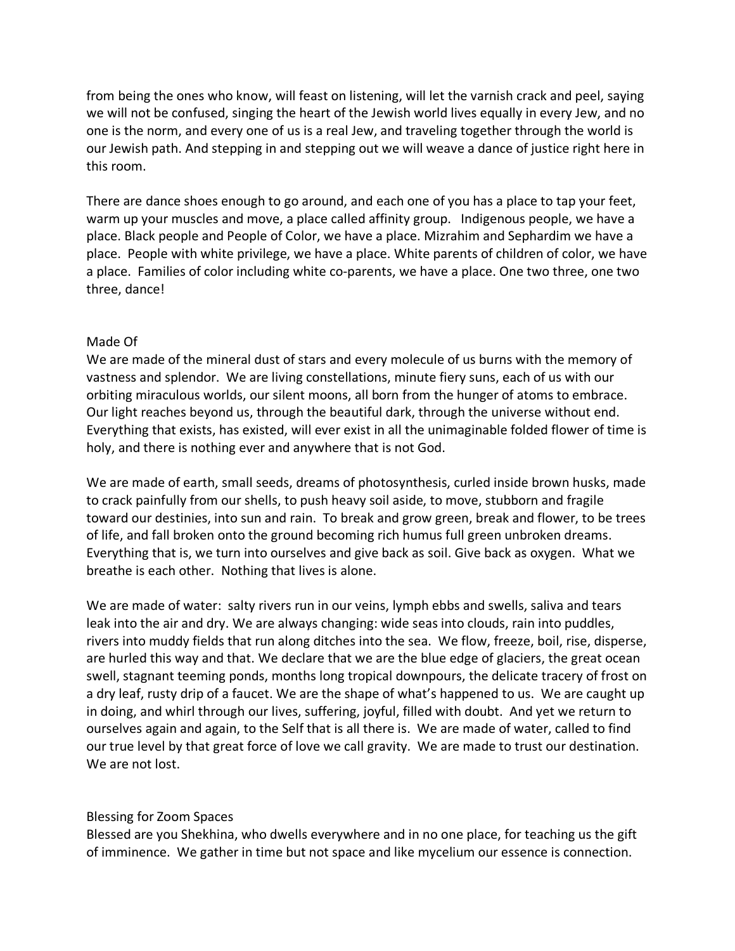from being the ones who know, will feast on listening, will let the varnish crack and peel, saying we will not be confused, singing the heart of the Jewish world lives equally in every Jew, and no one is the norm, and every one of us is a real Jew, and traveling together through the world is our Jewish path. And stepping in and stepping out we will weave a dance of justice right here in this room.

There are dance shoes enough to go around, and each one of you has a place to tap your feet, warm up your muscles and move, a place called affinity group. Indigenous people, we have a place. Black people and People of Color, we have a place. Mizrahim and Sephardim we have a place. People with white privilege, we have a place. White parents of children of color, we have a place. Families of color including white co-parents, we have a place. One two three, one two three, dance!

### Made Of

We are made of the mineral dust of stars and every molecule of us burns with the memory of vastness and splendor. We are living constellations, minute fiery suns, each of us with our orbiting miraculous worlds, our silent moons, all born from the hunger of atoms to embrace. Our light reaches beyond us, through the beautiful dark, through the universe without end. Everything that exists, has existed, will ever exist in all the unimaginable folded flower of time is holy, and there is nothing ever and anywhere that is not God.

We are made of earth, small seeds, dreams of photosynthesis, curled inside brown husks, made to crack painfully from our shells, to push heavy soil aside, to move, stubborn and fragile toward our destinies, into sun and rain. To break and grow green, break and flower, to be trees of life, and fall broken onto the ground becoming rich humus full green unbroken dreams. Everything that is, we turn into ourselves and give back as soil. Give back as oxygen. What we breathe is each other. Nothing that lives is alone.

We are made of water: salty rivers run in our veins, lymph ebbs and swells, saliva and tears leak into the air and dry. We are always changing: wide seas into clouds, rain into puddles, rivers into muddy fields that run along ditches into the sea. We flow, freeze, boil, rise, disperse, are hurled this way and that. We declare that we are the blue edge of glaciers, the great ocean swell, stagnant teeming ponds, months long tropical downpours, the delicate tracery of frost on a dry leaf, rusty drip of a faucet. We are the shape of what's happened to us. We are caught up in doing, and whirl through our lives, suffering, joyful, filled with doubt. And yet we return to ourselves again and again, to the Self that is all there is. We are made of water, called to find our true level by that great force of love we call gravity. We are made to trust our destination. We are not lost.

## Blessing for Zoom Spaces

Blessed are you Shekhina, who dwells everywhere and in no one place, for teaching us the gift of imminence. We gather in time but not space and like mycelium our essence is connection.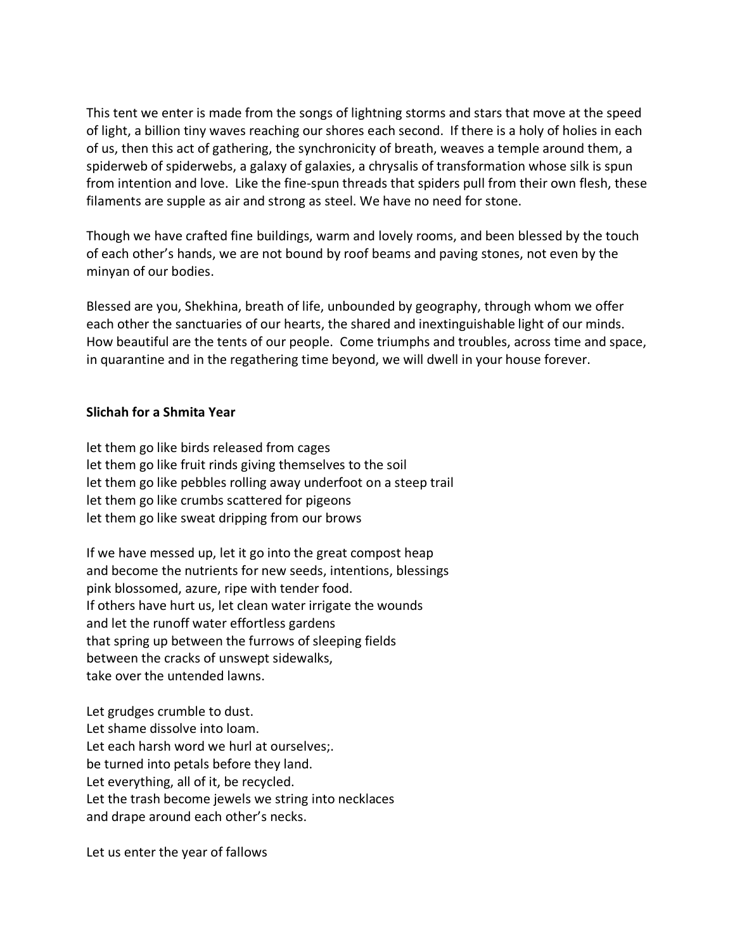This tent we enter is made from the songs of lightning storms and stars that move at the speed of light, a billion tiny waves reaching our shores each second. If there is a holy of holies in each of us, then this act of gathering, the synchronicity of breath, weaves a temple around them, a spiderweb of spiderwebs, a galaxy of galaxies, a chrysalis of transformation whose silk is spun from intention and love. Like the fine-spun threads that spiders pull from their own flesh, these filaments are supple as air and strong as steel. We have no need for stone.

Though we have crafted fine buildings, warm and lovely rooms, and been blessed by the touch of each other's hands, we are not bound by roof beams and paving stones, not even by the minyan of our bodies.

Blessed are you, Shekhina, breath of life, unbounded by geography, through whom we offer each other the sanctuaries of our hearts, the shared and inextinguishable light of our minds. How beautiful are the tents of our people. Come triumphs and troubles, across time and space, in quarantine and in the regathering time beyond, we will dwell in your house forever.

# **Slichah for a Shmita Year**

let them go like birds released from cages let them go like fruit rinds giving themselves to the soil let them go like pebbles rolling away underfoot on a steep trail let them go like crumbs scattered for pigeons let them go like sweat dripping from our brows

If we have messed up, let it go into the great compost heap and become the nutrients for new seeds, intentions, blessings pink blossomed, azure, ripe with tender food. If others have hurt us, let clean water irrigate the wounds and let the runoff water effortless gardens that spring up between the furrows of sleeping fields between the cracks of unswept sidewalks, take over the untended lawns.

Let grudges crumble to dust. Let shame dissolve into loam. Let each harsh word we hurl at ourselves;. be turned into petals before they land. Let everything, all of it, be recycled. Let the trash become jewels we string into necklaces and drape around each other's necks.

Let us enter the year of fallows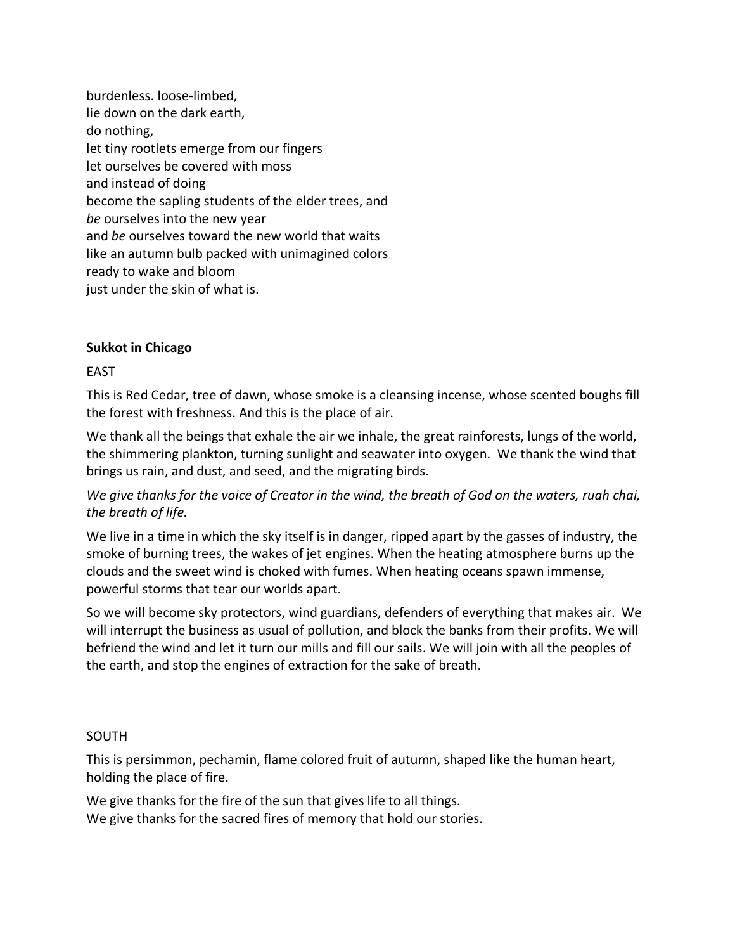burdenless. loose-limbed, lie down on the dark earth, do nothing, let tiny rootlets emerge from our fingers let ourselves be covered with moss and instead of doing become the sapling students of the elder trees, and *be* ourselves into the new year and *be* ourselves toward the new world that waits like an autumn bulb packed with unimagined colors ready to wake and bloom just under the skin of what is.

# **Sukkot in Chicago**

## EAST

This is Red Cedar, tree of dawn, whose smoke is a cleansing incense, whose scented boughs fill the forest with freshness. And this is the place of air.

We thank all the beings that exhale the air we inhale, the great rainforests, lungs of the world, the shimmering plankton, turning sunlight and seawater into oxygen. We thank the wind that brings us rain, and dust, and seed, and the migrating birds.

*We give thanks for the voice of Creator in the wind, the breath of God on the waters, ruah chai, the breath of life.* 

We live in a time in which the sky itself is in danger, ripped apart by the gasses of industry, the smoke of burning trees, the wakes of jet engines. When the heating atmosphere burns up the clouds and the sweet wind is choked with fumes. When heating oceans spawn immense, powerful storms that tear our worlds apart.

So we will become sky protectors, wind guardians, defenders of everything that makes air. We will interrupt the business as usual of pollution, and block the banks from their profits. We will befriend the wind and let it turn our mills and fill our sails. We will join with all the peoples of the earth, and stop the engines of extraction for the sake of breath.

## SOUTH

This is persimmon, pechamin, flame colored fruit of autumn, shaped like the human heart, holding the place of fire.

We give thanks for the fire of the sun that gives life to all things. We give thanks for the sacred fires of memory that hold our stories.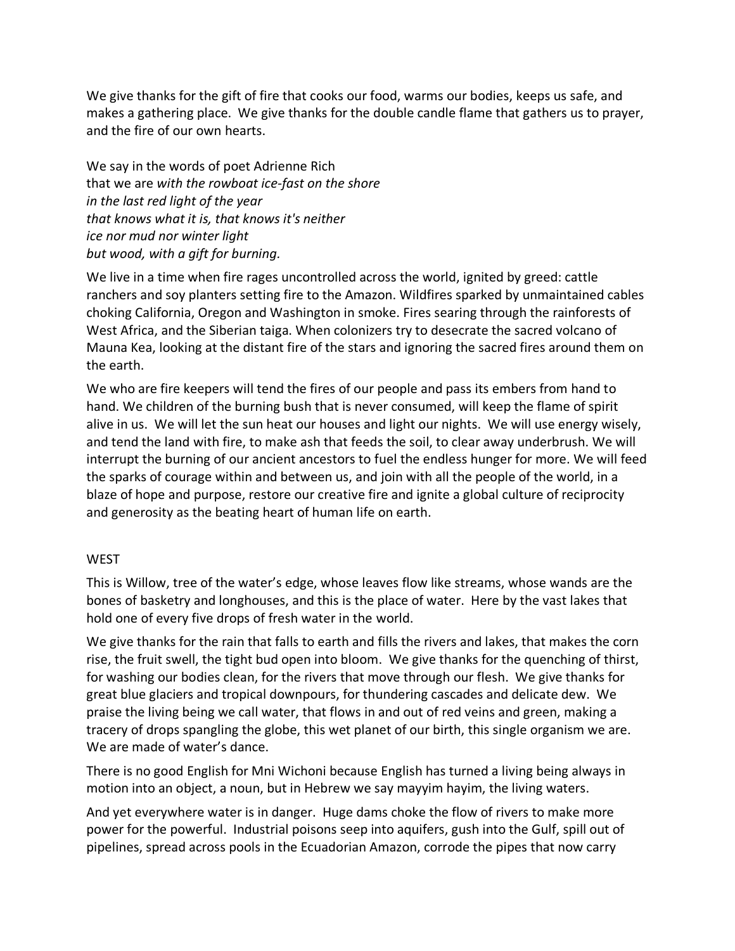We give thanks for the gift of fire that cooks our food, warms our bodies, keeps us safe, and makes a gathering place. We give thanks for the double candle flame that gathers us to prayer, and the fire of our own hearts.

We say in the words of poet Adrienne Rich that we are *with the rowboat ice-fast on the shore in the last red light of the year that knows what it is, that knows it's neither ice nor mud nor winter light but wood, with a gift for burning.*

We live in a time when fire rages uncontrolled across the world, ignited by greed: cattle ranchers and soy planters setting fire to the Amazon. Wildfires sparked by unmaintained cables choking California, Oregon and Washington in smoke. Fires searing through the rainforests of West Africa, and the Siberian taiga. When colonizers try to desecrate the sacred volcano of Mauna Kea, looking at the distant fire of the stars and ignoring the sacred fires around them on the earth.

We who are fire keepers will tend the fires of our people and pass its embers from hand to hand. We children of the burning bush that is never consumed, will keep the flame of spirit alive in us. We will let the sun heat our houses and light our nights. We will use energy wisely, and tend the land with fire, to make ash that feeds the soil, to clear away underbrush. We will interrupt the burning of our ancient ancestors to fuel the endless hunger for more. We will feed the sparks of courage within and between us, and join with all the people of the world, in a blaze of hope and purpose, restore our creative fire and ignite a global culture of reciprocity and generosity as the beating heart of human life on earth.

## **WEST**

This is Willow, tree of the water's edge, whose leaves flow like streams, whose wands are the bones of basketry and longhouses, and this is the place of water. Here by the vast lakes that hold one of every five drops of fresh water in the world.

We give thanks for the rain that falls to earth and fills the rivers and lakes, that makes the corn rise, the fruit swell, the tight bud open into bloom. We give thanks for the quenching of thirst, for washing our bodies clean, for the rivers that move through our flesh. We give thanks for great blue glaciers and tropical downpours, for thundering cascades and delicate dew. We praise the living being we call water, that flows in and out of red veins and green, making a tracery of drops spangling the globe, this wet planet of our birth, this single organism we are. We are made of water's dance.

There is no good English for Mni Wichoni because English has turned a living being always in motion into an object, a noun, but in Hebrew we say mayyim hayim, the living waters.

And yet everywhere water is in danger. Huge dams choke the flow of rivers to make more power for the powerful. Industrial poisons seep into aquifers, gush into the Gulf, spill out of pipelines, spread across pools in the Ecuadorian Amazon, corrode the pipes that now carry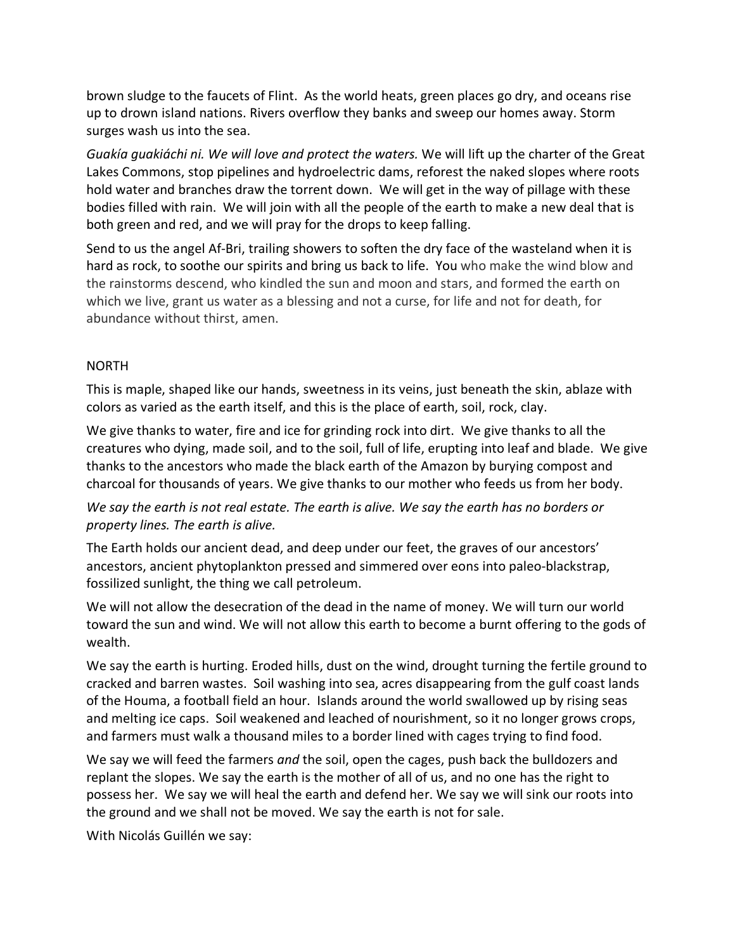brown sludge to the faucets of Flint. As the world heats, green places go dry, and oceans rise up to drown island nations. Rivers overflow they banks and sweep our homes away. Storm surges wash us into the sea.

*Guakía guakiáchi ni. We will love and protect the waters.* We will lift up the charter of the Great Lakes Commons, stop pipelines and hydroelectric dams, reforest the naked slopes where roots hold water and branches draw the torrent down. We will get in the way of pillage with these bodies filled with rain. We will join with all the people of the earth to make a new deal that is both green and red, and we will pray for the drops to keep falling.

Send to us the angel Af-Bri, trailing showers to soften the dry face of the wasteland when it is hard as rock, to soothe our spirits and bring us back to life. You who make the wind blow and the rainstorms descend, who kindled the sun and moon and stars, and formed the earth on which we live, grant us water as a blessing and not a curse, for life and not for death, for abundance without thirst, amen.

# NORTH

This is maple, shaped like our hands, sweetness in its veins, just beneath the skin, ablaze with colors as varied as the earth itself, and this is the place of earth, soil, rock, clay.

We give thanks to water, fire and ice for grinding rock into dirt. We give thanks to all the creatures who dying, made soil, and to the soil, full of life, erupting into leaf and blade. We give thanks to the ancestors who made the black earth of the Amazon by burying compost and charcoal for thousands of years. We give thanks to our mother who feeds us from her body.

# *We say the earth is not real estate. The earth is alive. We say the earth has no borders or property lines. The earth is alive.*

The Earth holds our ancient dead, and deep under our feet, the graves of our ancestors' ancestors, ancient phytoplankton pressed and simmered over eons into paleo-blackstrap, fossilized sunlight, the thing we call petroleum.

We will not allow the desecration of the dead in the name of money. We will turn our world toward the sun and wind. We will not allow this earth to become a burnt offering to the gods of wealth.

We say the earth is hurting. Eroded hills, dust on the wind, drought turning the fertile ground to cracked and barren wastes. Soil washing into sea, acres disappearing from the gulf coast lands of the Houma, a football field an hour. Islands around the world swallowed up by rising seas and melting ice caps. Soil weakened and leached of nourishment, so it no longer grows crops, and farmers must walk a thousand miles to a border lined with cages trying to find food.

We say we will feed the farmers *and* the soil, open the cages, push back the bulldozers and replant the slopes. We say the earth is the mother of all of us, and no one has the right to possess her. We say we will heal the earth and defend her. We say we will sink our roots into the ground and we shall not be moved. We say the earth is not for sale.

With Nicolás Guillén we say: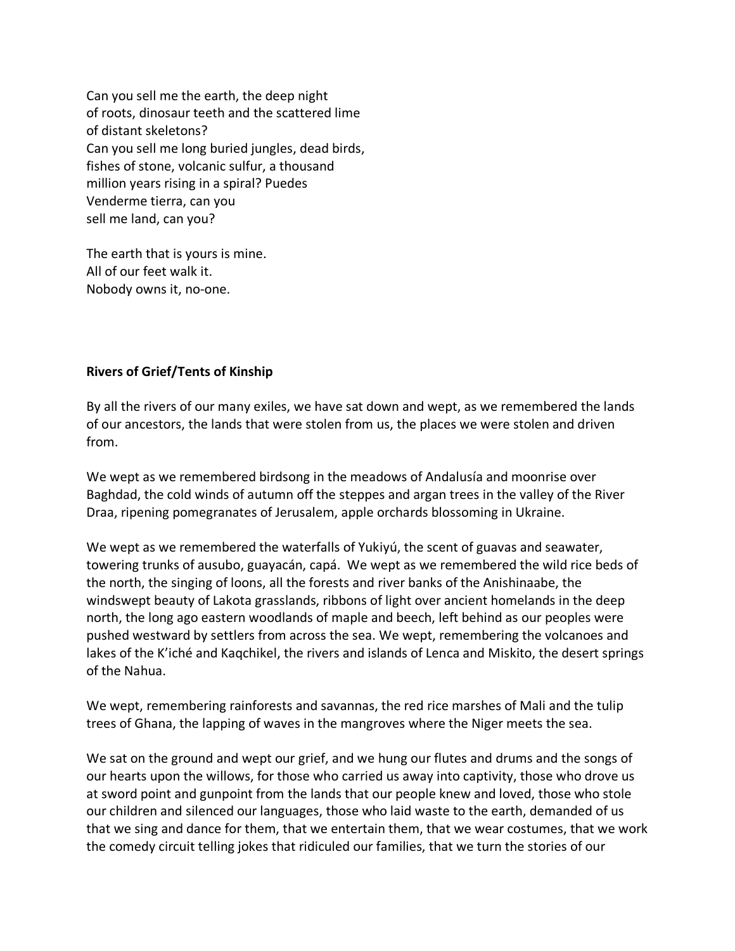Can you sell me the earth, the deep night of roots, dinosaur teeth and the scattered lime of distant skeletons? Can you sell me long buried jungles, dead birds, fishes of stone, volcanic sulfur, a thousand million years rising in a spiral? Puedes Venderme tierra, can you sell me land, can you?

The earth that is yours is mine. All of our feet walk it. Nobody owns it, no-one.

# **Rivers of Grief/Tents of Kinship**

By all the rivers of our many exiles, we have sat down and wept, as we remembered the lands of our ancestors, the lands that were stolen from us, the places we were stolen and driven from.

We wept as we remembered birdsong in the meadows of Andalusía and moonrise over Baghdad, the cold winds of autumn off the steppes and argan trees in the valley of the River Draa, ripening pomegranates of Jerusalem, apple orchards blossoming in Ukraine.

We wept as we remembered the waterfalls of Yukiyú, the scent of guavas and seawater, towering trunks of ausubo, guayacán, capá. We wept as we remembered the wild rice beds of the north, the singing of loons, all the forests and river banks of the Anishinaabe, the windswept beauty of Lakota grasslands, ribbons of light over ancient homelands in the deep north, the long ago eastern woodlands of maple and beech, left behind as our peoples were pushed westward by settlers from across the sea. We wept, remembering the volcanoes and lakes of the K'iché and Kaqchikel, the rivers and islands of Lenca and Miskito, the desert springs of the Nahua.

We wept, remembering rainforests and savannas, the red rice marshes of Mali and the tulip trees of Ghana, the lapping of waves in the mangroves where the Niger meets the sea.

We sat on the ground and wept our grief, and we hung our flutes and drums and the songs of our hearts upon the willows, for those who carried us away into captivity, those who drove us at sword point and gunpoint from the lands that our people knew and loved, those who stole our children and silenced our languages, those who laid waste to the earth, demanded of us that we sing and dance for them, that we entertain them, that we wear costumes, that we work the comedy circuit telling jokes that ridiculed our families, that we turn the stories of our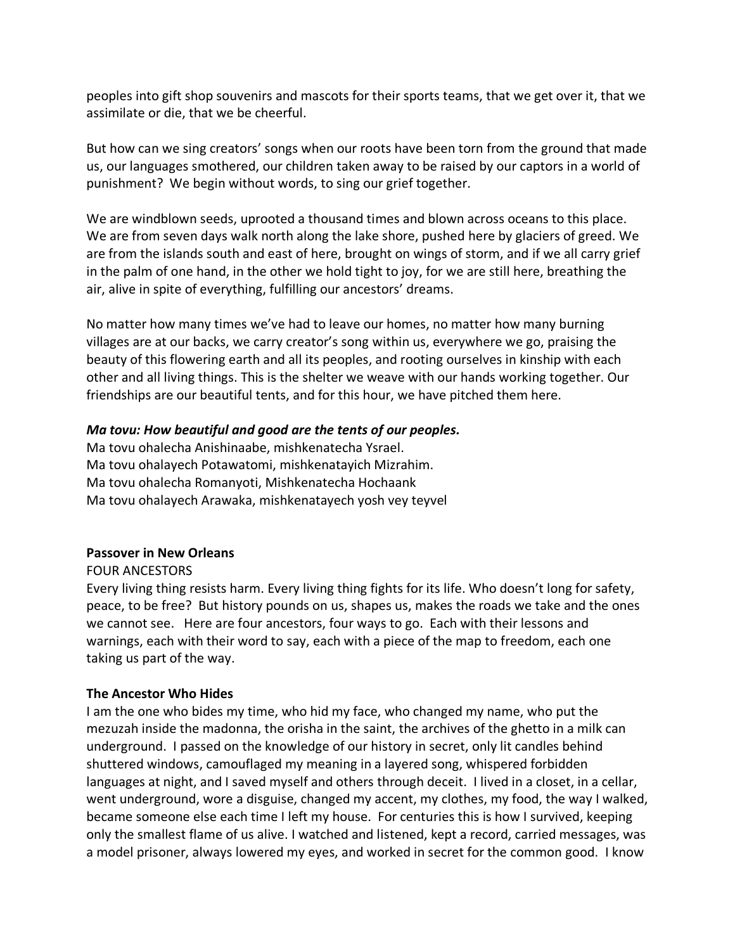peoples into gift shop souvenirs and mascots for their sports teams, that we get over it, that we assimilate or die, that we be cheerful.

But how can we sing creators' songs when our roots have been torn from the ground that made us, our languages smothered, our children taken away to be raised by our captors in a world of punishment? We begin without words, to sing our grief together.

We are windblown seeds, uprooted a thousand times and blown across oceans to this place. We are from seven days walk north along the lake shore, pushed here by glaciers of greed. We are from the islands south and east of here, brought on wings of storm, and if we all carry grief in the palm of one hand, in the other we hold tight to joy, for we are still here, breathing the air, alive in spite of everything, fulfilling our ancestors' dreams.

No matter how many times we've had to leave our homes, no matter how many burning villages are at our backs, we carry creator's song within us, everywhere we go, praising the beauty of this flowering earth and all its peoples, and rooting ourselves in kinship with each other and all living things. This is the shelter we weave with our hands working together. Our friendships are our beautiful tents, and for this hour, we have pitched them here.

## *Ma tovu: How beautiful and good are the tents of our peoples.*

Ma tovu ohalecha Anishinaabe, mishkenatecha Ysrael. Ma tovu ohalayech Potawatomi, mishkenatayich Mizrahim. Ma tovu ohalecha Romanyoti, Mishkenatecha Hochaank Ma tovu ohalayech Arawaka, mishkenatayech yosh vey teyvel

## **Passover in New Orleans**

## FOUR ANCESTORS

Every living thing resists harm. Every living thing fights for its life. Who doesn't long for safety, peace, to be free? But history pounds on us, shapes us, makes the roads we take and the ones we cannot see. Here are four ancestors, four ways to go. Each with their lessons and warnings, each with their word to say, each with a piece of the map to freedom, each one taking us part of the way.

## **The Ancestor Who Hides**

I am the one who bides my time, who hid my face, who changed my name, who put the mezuzah inside the madonna, the orisha in the saint, the archives of the ghetto in a milk can underground. I passed on the knowledge of our history in secret, only lit candles behind shuttered windows, camouflaged my meaning in a layered song, whispered forbidden languages at night, and I saved myself and others through deceit. I lived in a closet, in a cellar, went underground, wore a disguise, changed my accent, my clothes, my food, the way I walked, became someone else each time I left my house. For centuries this is how I survived, keeping only the smallest flame of us alive. I watched and listened, kept a record, carried messages, was a model prisoner, always lowered my eyes, and worked in secret for the common good. I know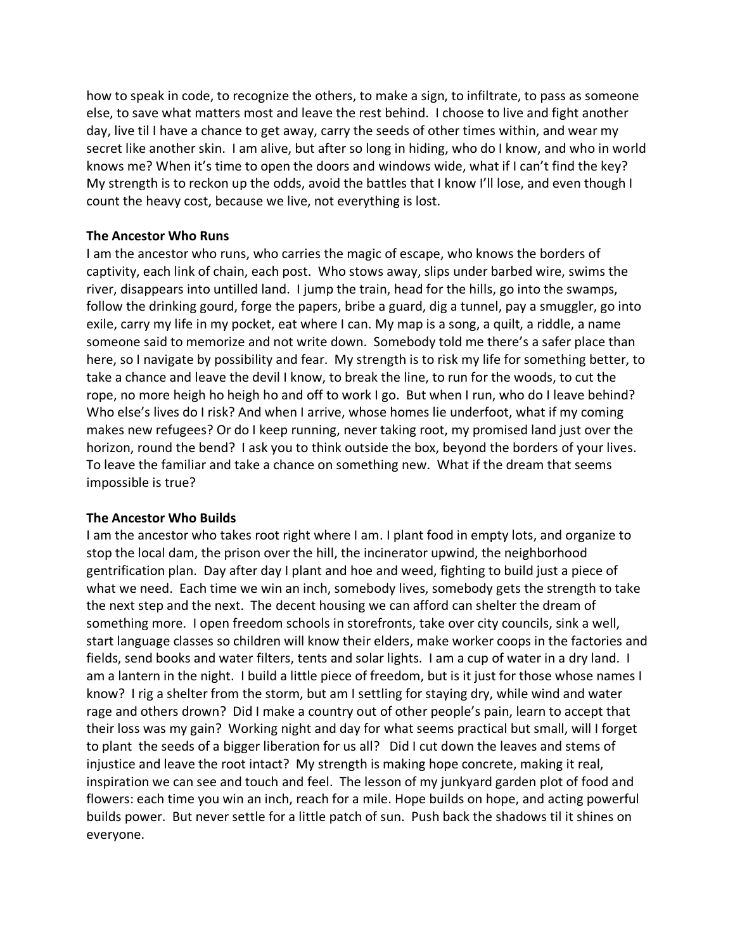how to speak in code, to recognize the others, to make a sign, to infiltrate, to pass as someone else, to save what matters most and leave the rest behind. I choose to live and fight another day, live til I have a chance to get away, carry the seeds of other times within, and wear my secret like another skin. I am alive, but after so long in hiding, who do I know, and who in world knows me? When it's time to open the doors and windows wide, what if I can't find the key? My strength is to reckon up the odds, avoid the battles that I know I'll lose, and even though I count the heavy cost, because we live, not everything is lost.

# **The Ancestor Who Runs**

I am the ancestor who runs, who carries the magic of escape, who knows the borders of captivity, each link of chain, each post. Who stows away, slips under barbed wire, swims the river, disappears into untilled land. I jump the train, head for the hills, go into the swamps, follow the drinking gourd, forge the papers, bribe a guard, dig a tunnel, pay a smuggler, go into exile, carry my life in my pocket, eat where I can. My map is a song, a quilt, a riddle, a name someone said to memorize and not write down. Somebody told me there's a safer place than here, so I navigate by possibility and fear. My strength is to risk my life for something better, to take a chance and leave the devil I know, to break the line, to run for the woods, to cut the rope, no more heigh ho heigh ho and off to work I go. But when I run, who do I leave behind? Who else's lives do I risk? And when I arrive, whose homes lie underfoot, what if my coming makes new refugees? Or do I keep running, never taking root, my promised land just over the horizon, round the bend? I ask you to think outside the box, beyond the borders of your lives. To leave the familiar and take a chance on something new. What if the dream that seems impossible is true?

# **The Ancestor Who Builds**

I am the ancestor who takes root right where I am. I plant food in empty lots, and organize to stop the local dam, the prison over the hill, the incinerator upwind, the neighborhood gentrification plan. Day after day I plant and hoe and weed, fighting to build just a piece of what we need. Each time we win an inch, somebody lives, somebody gets the strength to take the next step and the next. The decent housing we can afford can shelter the dream of something more. I open freedom schools in storefronts, take over city councils, sink a well, start language classes so children will know their elders, make worker coops in the factories and fields, send books and water filters, tents and solar lights. I am a cup of water in a dry land. I am a lantern in the night. I build a little piece of freedom, but is it just for those whose names I know? I rig a shelter from the storm, but am I settling for staying dry, while wind and water rage and others drown? Did I make a country out of other people's pain, learn to accept that their loss was my gain? Working night and day for what seems practical but small, will I forget to plant the seeds of a bigger liberation for us all? Did I cut down the leaves and stems of injustice and leave the root intact? My strength is making hope concrete, making it real, inspiration we can see and touch and feel. The lesson of my junkyard garden plot of food and flowers: each time you win an inch, reach for a mile. Hope builds on hope, and acting powerful builds power. But never settle for a little patch of sun. Push back the shadows til it shines on everyone.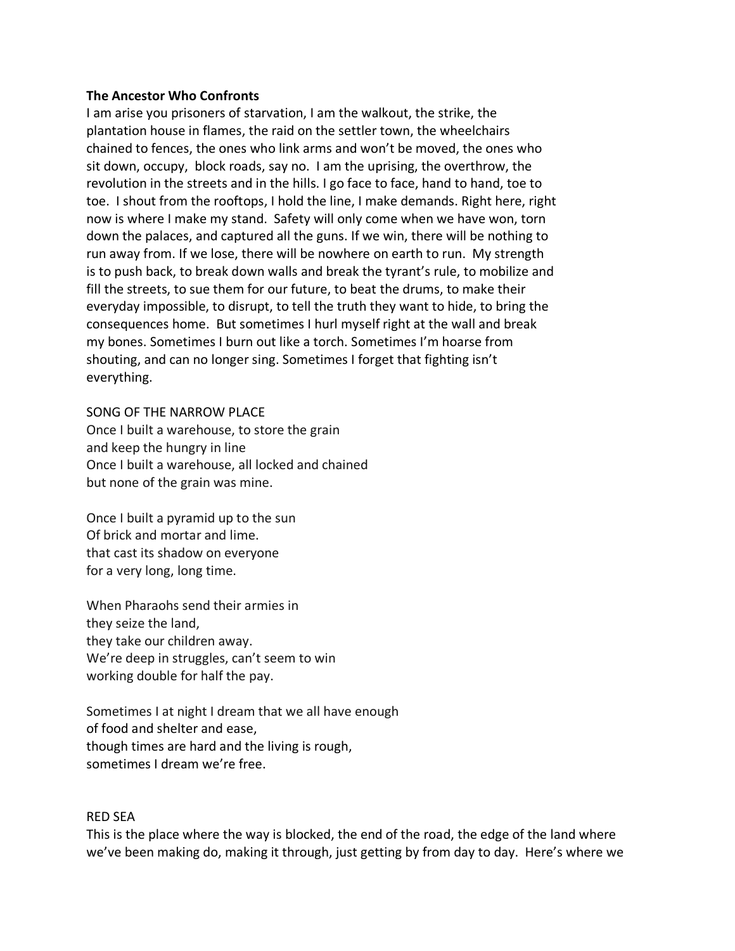#### **The Ancestor Who Confronts**

I am arise you prisoners of starvation, I am the walkout, the strike, the plantation house in flames, the raid on the settler town, the wheelchairs chained to fences, the ones who link arms and won't be moved, the ones who sit down, occupy, block roads, say no. I am the uprising, the overthrow, the revolution in the streets and in the hills. I go face to face, hand to hand, toe to toe. I shout from the rooftops, I hold the line, I make demands. Right here, right now is where I make my stand. Safety will only come when we have won, torn down the palaces, and captured all the guns. If we win, there will be nothing to run away from. If we lose, there will be nowhere on earth to run. My strength is to push back, to break down walls and break the tyrant's rule, to mobilize and fill the streets, to sue them for our future, to beat the drums, to make their everyday impossible, to disrupt, to tell the truth they want to hide, to bring the consequences home. But sometimes I hurl myself right at the wall and break my bones. Sometimes I burn out like a torch. Sometimes I'm hoarse from shouting, and can no longer sing. Sometimes I forget that fighting isn't everything.

### SONG OF THE NARROW PLACE

Once I built a warehouse, to store the grain and keep the hungry in line Once I built a warehouse, all locked and chained but none of the grain was mine.

Once I built a pyramid up to the sun Of brick and mortar and lime. that cast its shadow on everyone for a very long, long time.

When Pharaohs send their armies in they seize the land, they take our children away. We're deep in struggles, can't seem to win working double for half the pay.

Sometimes I at night I dream that we all have enough of food and shelter and ease, though times are hard and the living is rough, sometimes I dream we're free.

#### RED SEA

This is the place where the way is blocked, the end of the road, the edge of the land where we've been making do, making it through, just getting by from day to day. Here's where we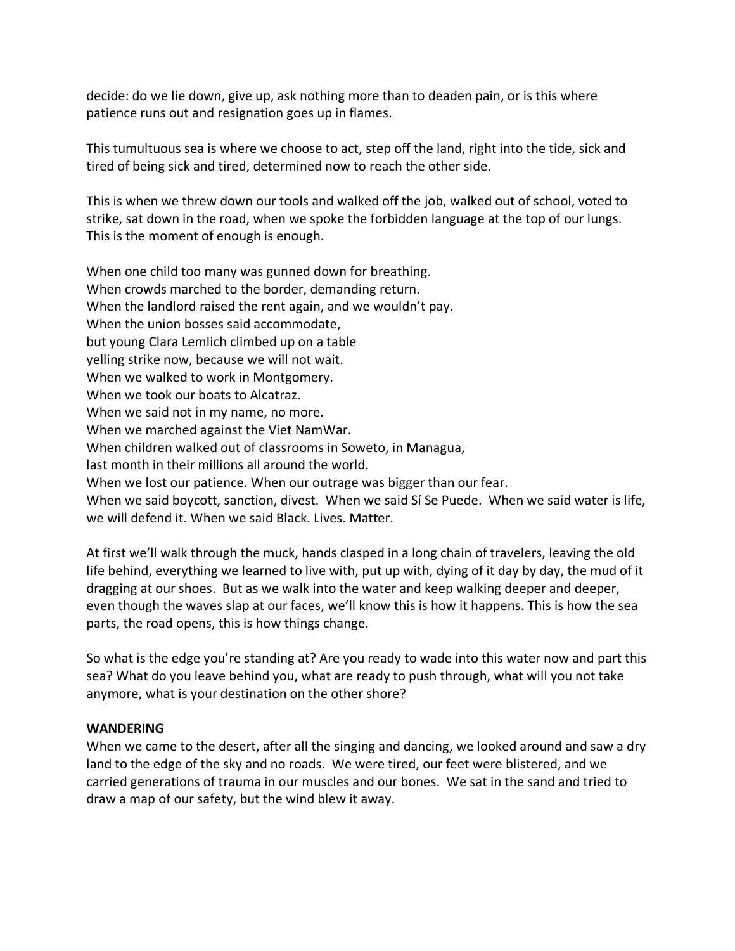decide: do we lie down, give up, ask nothing more than to deaden pain, or is this where patience runs out and resignation goes up in flames.

This tumultuous sea is where we choose to act, step off the land, right into the tide, sick and tired of being sick and tired, determined now to reach the other side.

This is when we threw down our tools and walked off the job, walked out of school, voted to strike, sat down in the road, when we spoke the forbidden language at the top of our lungs. This is the moment of enough is enough.

When one child too many was gunned down for breathing. When crowds marched to the border, demanding return. When the landlord raised the rent again, and we wouldn't pay. When the union bosses said accommodate, but young Clara Lemlich climbed up on a table yelling strike now, because we will not wait. When we walked to work in Montgomery. When we took our boats to Alcatraz. When we said not in my name, no more. When we marched against the Viet NamWar. When children walked out of classrooms in Soweto, in Managua, last month in their millions all around the world. When we lost our patience. When our outrage was bigger than our fear. When we said boycott, sanction, divest. When we said Sí Se Puede. When we said water is life, we will defend it. When we said Black. Lives. Matter.

At first we'll walk through the muck, hands clasped in a long chain of travelers, leaving the old life behind, everything we learned to live with, put up with, dying of it day by day, the mud of it dragging at our shoes. But as we walk into the water and keep walking deeper and deeper, even though the waves slap at our faces, we'll know this is how it happens. This is how the sea parts, the road opens, this is how things change.

So what is the edge you're standing at? Are you ready to wade into this water now and part this sea? What do you leave behind you, what are ready to push through, what will you not take anymore, what is your destination on the other shore?

#### **WANDERING**

When we came to the desert, after all the singing and dancing, we looked around and saw a dry land to the edge of the sky and no roads. We were tired, our feet were blistered, and we carried generations of trauma in our muscles and our bones. We sat in the sand and tried to draw a map of our safety, but the wind blew it away.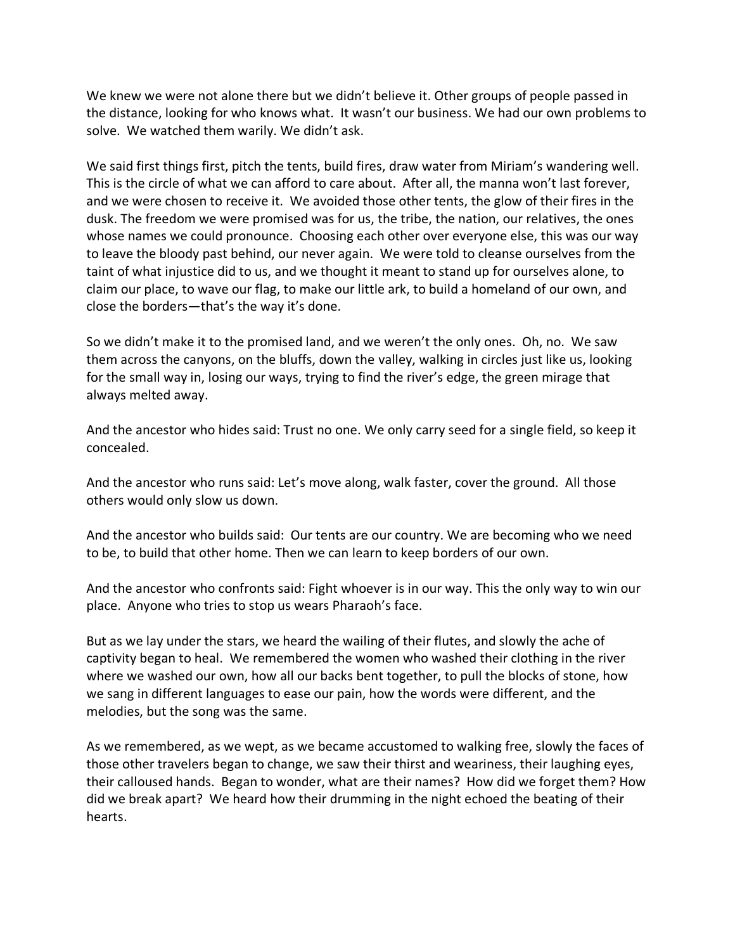We knew we were not alone there but we didn't believe it. Other groups of people passed in the distance, looking for who knows what. It wasn't our business. We had our own problems to solve. We watched them warily. We didn't ask.

We said first things first, pitch the tents, build fires, draw water from Miriam's wandering well. This is the circle of what we can afford to care about. After all, the manna won't last forever, and we were chosen to receive it. We avoided those other tents, the glow of their fires in the dusk. The freedom we were promised was for us, the tribe, the nation, our relatives, the ones whose names we could pronounce. Choosing each other over everyone else, this was our way to leave the bloody past behind, our never again. We were told to cleanse ourselves from the taint of what injustice did to us, and we thought it meant to stand up for ourselves alone, to claim our place, to wave our flag, to make our little ark, to build a homeland of our own, and close the borders—that's the way it's done.

So we didn't make it to the promised land, and we weren't the only ones. Oh, no. We saw them across the canyons, on the bluffs, down the valley, walking in circles just like us, looking for the small way in, losing our ways, trying to find the river's edge, the green mirage that always melted away.

And the ancestor who hides said: Trust no one. We only carry seed for a single field, so keep it concealed.

And the ancestor who runs said: Let's move along, walk faster, cover the ground. All those others would only slow us down.

And the ancestor who builds said: Our tents are our country. We are becoming who we need to be, to build that other home. Then we can learn to keep borders of our own.

And the ancestor who confronts said: Fight whoever is in our way. This the only way to win our place. Anyone who tries to stop us wears Pharaoh's face.

But as we lay under the stars, we heard the wailing of their flutes, and slowly the ache of captivity began to heal. We remembered the women who washed their clothing in the river where we washed our own, how all our backs bent together, to pull the blocks of stone, how we sang in different languages to ease our pain, how the words were different, and the melodies, but the song was the same.

As we remembered, as we wept, as we became accustomed to walking free, slowly the faces of those other travelers began to change, we saw their thirst and weariness, their laughing eyes, their calloused hands. Began to wonder, what are their names? How did we forget them? How did we break apart? We heard how their drumming in the night echoed the beating of their hearts.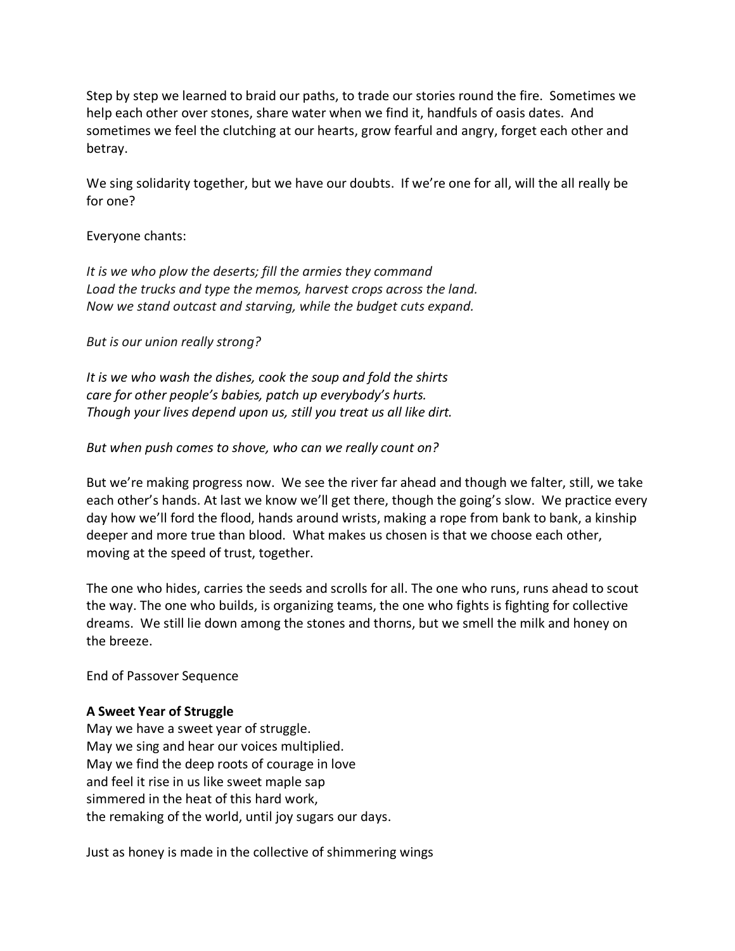Step by step we learned to braid our paths, to trade our stories round the fire. Sometimes we help each other over stones, share water when we find it, handfuls of oasis dates. And sometimes we feel the clutching at our hearts, grow fearful and angry, forget each other and betray.

We sing solidarity together, but we have our doubts. If we're one for all, will the all really be for one?

#### Everyone chants:

*It is we who plow the deserts; fill the armies they command Load the trucks and type the memos, harvest crops across the land. Now we stand outcast and starving, while the budget cuts expand.* 

*But is our union really strong?* 

*It is we who wash the dishes, cook the soup and fold the shirts care for other people's babies, patch up everybody's hurts. Though your lives depend upon us, still you treat us all like dirt.*

*But when push comes to shove, who can we really count on?* 

But we're making progress now. We see the river far ahead and though we falter, still, we take each other's hands. At last we know we'll get there, though the going's slow. We practice every day how we'll ford the flood, hands around wrists, making a rope from bank to bank, a kinship deeper and more true than blood. What makes us chosen is that we choose each other, moving at the speed of trust, together.

The one who hides, carries the seeds and scrolls for all. The one who runs, runs ahead to scout the way. The one who builds, is organizing teams, the one who fights is fighting for collective dreams. We still lie down among the stones and thorns, but we smell the milk and honey on the breeze.

End of Passover Sequence

## **A Sweet Year of Struggle**

May we have a sweet year of struggle. May we sing and hear our voices multiplied. May we find the deep roots of courage in love and feel it rise in us like sweet maple sap simmered in the heat of this hard work, the remaking of the world, until joy sugars our days.

Just as honey is made in the collective of shimmering wings